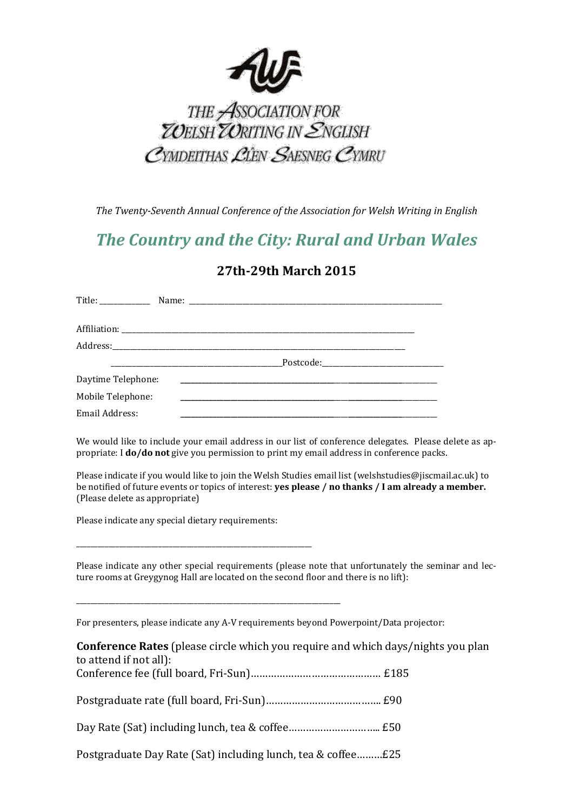

## THE ASSOCIATION FOR<br>THE ASSOCIATION FOR<br>TUELSH TURITING IN ENGLISH CYMDEITHAS LIEN SAESNEG CYMRU

*The Twenty-Seventh Annual Conference of the Association for Welsh Writing in English*

## *The Country and the City: Rural and Urban Wales*

## **27th-29th March 2015**

| Daytime Telephone: |  |
|--------------------|--|
| Mobile Telephone:  |  |
| Email Address:     |  |

We would like to include your email address in our list of conference delegates. Please delete as appropriate: I **do/do not** give you permission to print my email address in conference packs.

Please indicate if you would like to join the Welsh Studies email list (welshstudies@jiscmail.ac.uk) to be notified of future events or topics of interest: **yes please / no thanks / I am already a member.** (Please delete as appropriate)

Please indicate any special dietary requirements:

\_\_\_\_\_\_\_\_\_\_\_\_\_\_\_\_\_\_\_\_\_\_\_\_\_\_\_\_\_\_\_\_\_\_\_\_\_\_\_\_\_\_\_\_\_\_\_\_\_\_\_\_\_\_\_\_\_\_\_\_\_\_\_\_\_\_

\_\_\_\_\_\_\_\_\_\_\_\_\_\_\_\_\_\_\_\_\_\_\_\_\_\_\_\_\_\_\_\_\_\_\_\_\_\_\_\_\_\_\_\_\_\_\_\_\_\_\_\_\_\_\_\_\_\_\_\_\_\_\_\_\_\_\_\_\_\_\_\_\_\_

Please indicate any other special requirements (please note that unfortunately the seminar and lecture rooms at Greygynog Hall are located on the second floor and there is no lift):

For presenters, please indicate any A-V requirements beyond Powerpoint/Data projector:

| <b>Conference Rates</b> (please circle which you require and which days/nights you plan |  |
|-----------------------------------------------------------------------------------------|--|
| to attend if not all):                                                                  |  |
|                                                                                         |  |
|                                                                                         |  |
| Postgraduate Day Rate (Sat) including lunch, tea & coffee£25                            |  |